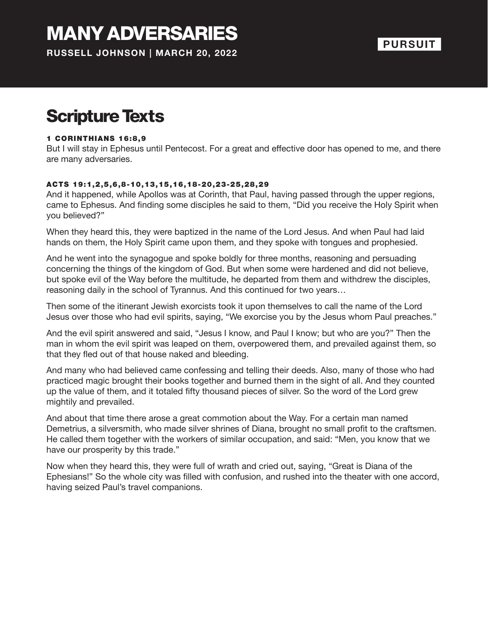# MANY ADVERSARIES

**RUSSELL JOHNSON | MARCH 20, 2022**

#### **PURSUIT**

## Scripture Texts

#### **1 CORINTHIANS 16:8,9**

But I will stay in Ephesus until Pentecost. For a great and effective door has opened to me, and there are many adversaries.

#### ACTS 19 :1 ,2 ,5 ,6 ,8-10 ,13 ,15 ,16 ,18-20 ,23-25 ,28 ,29

And it happened, while Apollos was at Corinth, that Paul, having passed through the upper regions, came to Ephesus. And finding some disciples he said to them, "Did you receive the Holy Spirit when you believed?"

When they heard this, they were baptized in the name of the Lord Jesus. And when Paul had laid hands on them, the Holy Spirit came upon them, and they spoke with tongues and prophesied.

And he went into the synagogue and spoke boldly for three months, reasoning and persuading concerning the things of the kingdom of God. But when some were hardened and did not believe, but spoke evil of the Way before the multitude, he departed from them and withdrew the disciples, reasoning daily in the school of Tyrannus. And this continued for two years…

Then some of the itinerant Jewish exorcists took it upon themselves to call the name of the Lord Jesus over those who had evil spirits, saying, "We exorcise you by the Jesus whom Paul preaches."

And the evil spirit answered and said, "Jesus I know, and Paul I know; but who are you?" Then the man in whom the evil spirit was leaped on them, overpowered them, and prevailed against them, so that they fled out of that house naked and bleeding.

And many who had believed came confessing and telling their deeds. Also, many of those who had practiced magic brought their books together and burned them in the sight of all. And they counted up the value of them, and it totaled fifty thousand pieces of silver. So the word of the Lord grew mightily and prevailed.

And about that time there arose a great commotion about the Way. For a certain man named Demetrius, a silversmith, who made silver shrines of Diana, brought no small profit to the craftsmen. He called them together with the workers of similar occupation, and said: "Men, you know that we have our prosperity by this trade."

Now when they heard this, they were full of wrath and cried out, saying, "Great is Diana of the Ephesians!" So the whole city was filled with confusion, and rushed into the theater with one accord, having seized Paul's travel companions.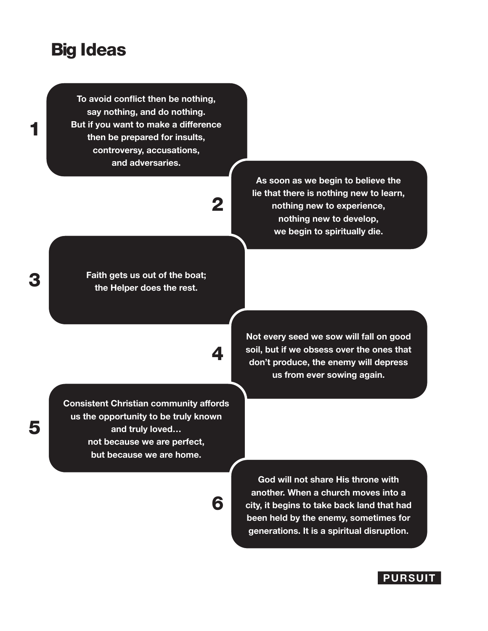### Big Ideas

**To avoid conflict then be nothing, say nothing, and do nothing. But if you want to make a difference then be prepared for insults, controversy, accusations, and adversaries.**

## 2

4

6

**Faith gets us out of the boat; the Helper does the rest.**

**As soon as we begin to believe the lie that there is nothing new to learn, nothing new to experience, nothing new to develop, we begin to spiritually die.**

**Not every seed we sow will fall on good soil, but if we obsess over the ones that don't produce, the enemy will depress us from ever sowing again.**

**Consistent Christian community affords us the opportunity to be truly known and truly loved… not because we are perfect, but because we are home.**

> **God will not share His throne with another. When a church moves into a city, it begins to take back land that had been held by the enemy, sometimes for generations. It is a spiritual disruption.**

3

1

5

#### **PURSUIT**